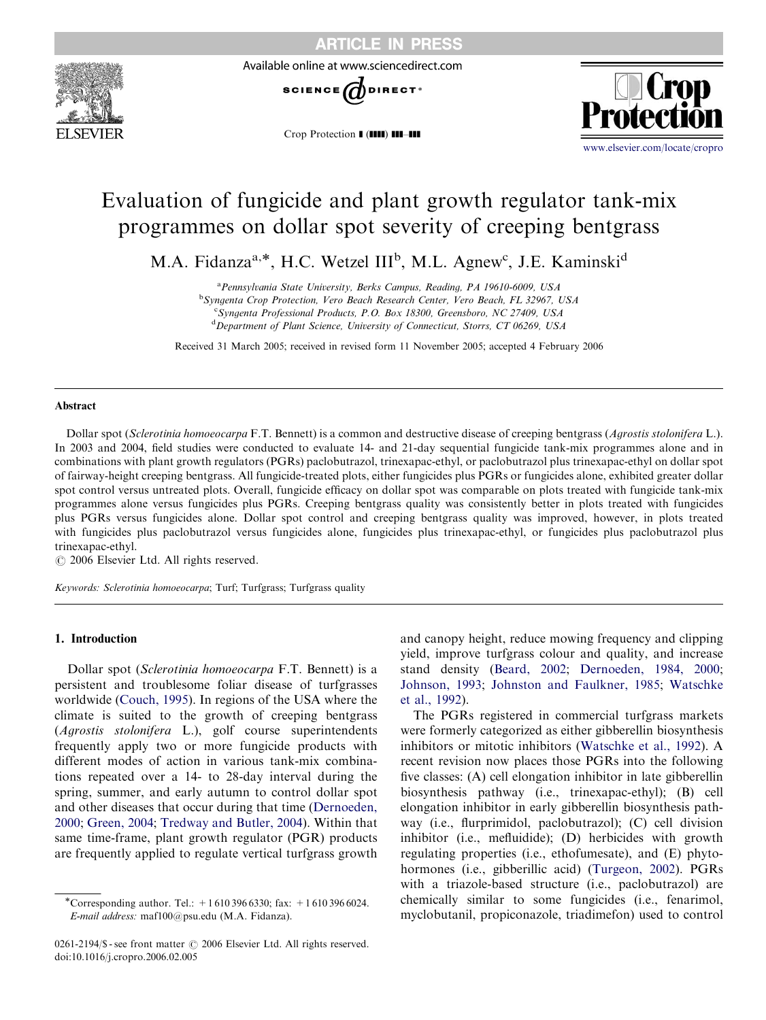

Available online at www.sciencedirect.com



Crop Protection I (IIII) III-III



# Evaluation of fungicide and plant growth regulator tank-mix programmes on dollar spot severity of creeping bentgrass

M.A. Fidanza<sup>a,\*</sup>, H.C. Wetzel III<sup>b</sup>, M.L. Agnew<sup>c</sup>, J.E. Kaminski<sup>d</sup>

<sup>a</sup> Pennsylvania State University, Berks Campus, Reading, PA 19610-6009, USA

<sup>b</sup>Syngenta Crop Protection, Vero Beach Research Center, Vero Beach, FL 32967, USA

<sup>c</sup>Syngenta Professional Products, P.O. Box 18300, Greensboro, NC 27409, USA

<sup>d</sup>Department of Plant Science, University of Connecticut, Storrs, CT 06269, USA

Received 31 March 2005; received in revised form 11 November 2005; accepted 4 February 2006

#### Abstract

Dollar spot (Sclerotinia homoeocarpa F.T. Bennett) is a common and destructive disease of creeping bentgrass (Agrostis stolonifera L.). In 2003 and 2004, field studies were conducted to evaluate 14- and 21-day sequential fungicide tank-mix programmes alone and in combinations with plant growth regulators (PGRs) paclobutrazol, trinexapac-ethyl, or paclobutrazol plus trinexapac-ethyl on dollar spot of fairway-height creeping bentgrass. All fungicide-treated plots, either fungicides plus PGRs or fungicides alone, exhibited greater dollar spot control versus untreated plots. Overall, fungicide efficacy on dollar spot was comparable on plots treated with fungicide tank-mix programmes alone versus fungicides plus PGRs. Creeping bentgrass quality was consistently better in plots treated with fungicides plus PGRs versus fungicides alone. Dollar spot control and creeping bentgrass quality was improved, however, in plots treated with fungicides plus paclobutrazol versus fungicides alone, fungicides plus trinexapac-ethyl, or fungicides plus paclobutrazol plus trinexapac-ethyl.

 $\odot$  2006 Elsevier Ltd. All rights reserved.

Keywords: Sclerotinia homoeocarpa; Turf; Turfgrass; Turfgrass quality

#### 1. Introduction

Dollar spot (Sclerotinia homoeocarpa F.T. Bennett) is a persistent and troublesome foliar disease of turfgrasses worldwide [\(Couch, 1995](#page-5-0)). In regions of the USA where the climate is suited to the growth of creeping bentgrass (Agrostis stolonifera L.), golf course superintendents frequently apply two or more fungicide products with different modes of action in various tank-mix combinations repeated over a 14- to 28-day interval during the spring, summer, and early autumn to control dollar spot and other diseases that occur during that time ([Dernoeden,](#page-5-0) [2000](#page-5-0); [Green, 2004](#page-5-0); [Tredway and Butler, 2004](#page-6-0)). Within that same time-frame, plant growth regulator (PGR) products are frequently applied to regulate vertical turfgrass growth

and canopy height, reduce mowing frequency and clipping yield, improve turfgrass colour and quality, and increase stand density [\(Beard, 2002](#page-5-0); [Dernoeden, 1984, 2000;](#page-5-0) [Johnson, 1993;](#page-5-0) [Johnston and Faulkner, 1985](#page-5-0); [Watschke](#page-6-0) [et al., 1992\)](#page-6-0).

The PGRs registered in commercial turfgrass markets were formerly categorized as either gibberellin biosynthesis inhibitors or mitotic inhibitors ([Watschke et al., 1992](#page-6-0)). A recent revision now places those PGRs into the following five classes: (A) cell elongation inhibitor in late gibberellin biosynthesis pathway (i.e., trinexapac-ethyl); (B) cell elongation inhibitor in early gibberellin biosynthesis pathway (i.e., flurprimidol, paclobutrazol); (C) cell division inhibitor (i.e., mefluidide); (D) herbicides with growth regulating properties (i.e., ethofumesate), and (E) phytohormones (i.e., gibberillic acid) ([Turgeon, 2002](#page-6-0)). PGRs with a triazole-based structure (i.e., paclobutrazol) are chemically similar to some fungicides (i.e., fenarimol, myclobutanil, propiconazole, triadimefon) used to control

<sup>\*</sup>Corresponding author. Tel.:  $+16103966330$ ; fax:  $+16103966024$ . E-mail address: maf100@psu.edu (M.A. Fidanza).

<sup>0261-2194/\$ -</sup> see front matter  $\odot$  2006 Elsevier Ltd. All rights reserved. doi:10.1016/j.cropro.2006.02.005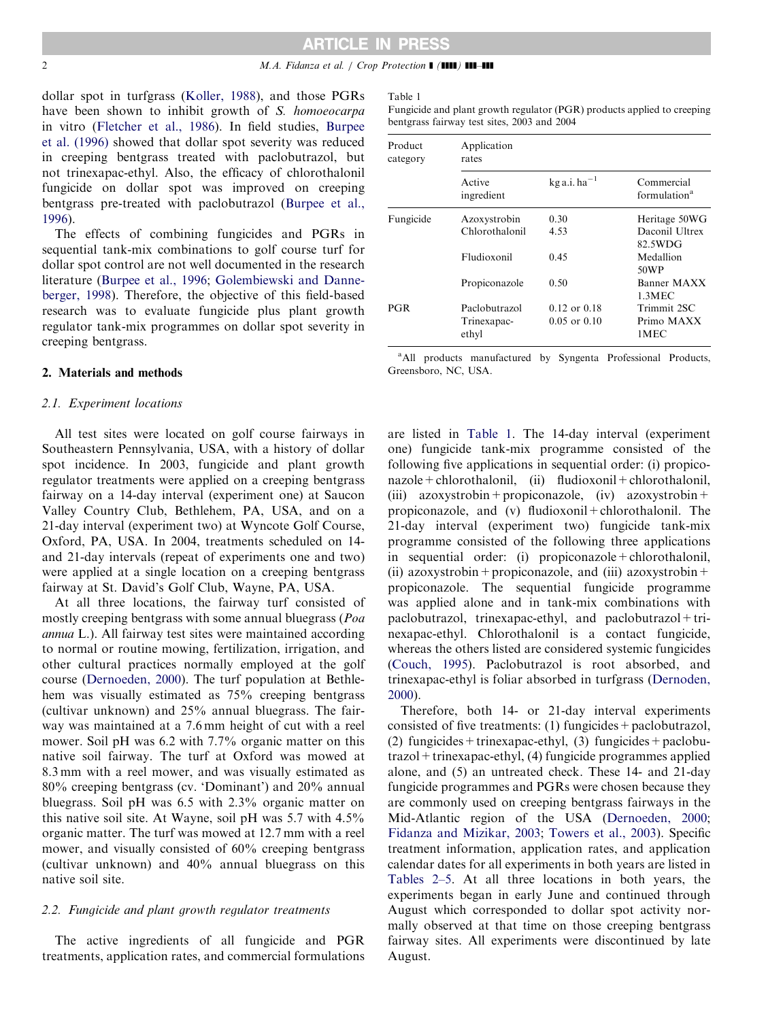#### 2 M.A. Fidanza et al. / Crop Protection **1 (1111) 111-411**

dollar spot in turfgrass [\(Koller, 1988](#page-5-0)), and those PGRs have been shown to inhibit growth of S. homoeocarpa in vitro [\(Fletcher et al., 1986](#page-5-0)). In field studies, [Burpee](#page-5-0) [et al. \(1996\)](#page-5-0) showed that dollar spot severity was reduced in creeping bentgrass treated with paclobutrazol, but not trinexapac-ethyl. Also, the efficacy of chlorothalonil fungicide on dollar spot was improved on creeping bentgrass pre-treated with paclobutrazol ([Burpee et al.,](#page-5-0) [1996\)](#page-5-0).

The effects of combining fungicides and PGRs in sequential tank-mix combinations to golf course turf for dollar spot control are not well documented in the research literature ([Burpee et al., 1996](#page-5-0); [Golembiewski and Danne](#page-5-0)[berger, 1998\)](#page-5-0). Therefore, the objective of this field-based research was to evaluate fungicide plus plant growth regulator tank-mix programmes on dollar spot severity in creeping bentgrass.

#### 2. Materials and methods

#### 2.1. Experiment locations

All test sites were located on golf course fairways in Southeastern Pennsylvania, USA, with a history of dollar spot incidence. In 2003, fungicide and plant growth regulator treatments were applied on a creeping bentgrass fairway on a 14-day interval (experiment one) at Saucon Valley Country Club, Bethlehem, PA, USA, and on a 21-day interval (experiment two) at Wyncote Golf Course, Oxford, PA, USA. In 2004, treatments scheduled on 14 and 21-day intervals (repeat of experiments one and two) were applied at a single location on a creeping bentgrass fairway at St. David's Golf Club, Wayne, PA, USA.

At all three locations, the fairway turf consisted of mostly creeping bentgrass with some annual bluegrass (Poa annua L.). All fairway test sites were maintained according to normal or routine mowing, fertilization, irrigation, and other cultural practices normally employed at the golf course [\(Dernoeden, 2000\)](#page-5-0). The turf population at Bethlehem was visually estimated as 75% creeping bentgrass (cultivar unknown) and 25% annual bluegrass. The fairway was maintained at a 7.6 mm height of cut with a reel mower. Soil pH was 6.2 with 7.7% organic matter on this native soil fairway. The turf at Oxford was mowed at 8.3 mm with a reel mower, and was visually estimated as 80% creeping bentgrass (cv. 'Dominant') and 20% annual bluegrass. Soil pH was 6.5 with 2.3% organic matter on this native soil site. At Wayne, soil pH was 5.7 with 4.5% organic matter. The turf was mowed at 12.7 mm with a reel mower, and visually consisted of 60% creeping bentgrass (cultivar unknown) and 40% annual bluegrass on this native soil site.

#### 2.2. Fungicide and plant growth regulator treatments

The active ingredients of all fungicide and PGR treatments, application rates, and commercial formulations

#### Table 1

Fungicide and plant growth regulator (PGR) products applied to creeping bentgrass fairway test sites, 2003 and 2004

| Product<br>category | Application<br>rates |                            |                                        |  |  |  |  |  |  |
|---------------------|----------------------|----------------------------|----------------------------------------|--|--|--|--|--|--|
|                     | Active<br>ingredient | $kg$ a.i. ha <sup>-1</sup> | Commercial<br>formulation <sup>a</sup> |  |  |  |  |  |  |
| Fungicide           | Azoxystrobin         | 0.30                       | Heritage 50WG                          |  |  |  |  |  |  |
|                     | Chlorothalonil       | 4.53                       | Daconil Ultrex<br>82.5WDG              |  |  |  |  |  |  |
|                     | Fludioxonil          | 0.45                       | Medallion<br>50WP                      |  |  |  |  |  |  |
|                     | Propiconazole        | 0.50                       | Banner MAXX<br>1.3MEC                  |  |  |  |  |  |  |
| PGR                 | Paclobutrazol        | $0.12$ or $0.18$           | Trimmit 2SC                            |  |  |  |  |  |  |
|                     | Trinexapac-<br>ethyl | $0.05$ or $0.10$           | Primo MAXX<br>1MEC                     |  |  |  |  |  |  |

<sup>a</sup>All products manufactured by Syngenta Professional Products, Greensboro, NC, USA.

are listed in Table 1. The 14-day interval (experiment one) fungicide tank-mix programme consisted of the following five applications in sequential order: (i) propico $nazole + chlorothalonil,$  (ii) fludioxonil + chlorothalonil, (iii) azoxystrobin + propiconazole, (iv) azoxystrobin + propiconazole, and (v) fludioxonil+chlorothalonil. The 21-day interval (experiment two) fungicide tank-mix programme consisted of the following three applications in sequential order: (i) propiconazole + chlorothalonil, (ii) azoxystrobin + propiconazole, and (iii) azoxystrobin + propiconazole. The sequential fungicide programme was applied alone and in tank-mix combinations with paclobutrazol, trinexapac-ethyl, and paclobutrazol + trinexapac-ethyl. Chlorothalonil is a contact fungicide, whereas the others listed are considered systemic fungicides [\(Couch, 1995\)](#page-5-0). Paclobutrazol is root absorbed, and trinexapac-ethyl is foliar absorbed in turfgrass [\(Dernoden,](#page-5-0) [2000\)](#page-5-0).

Therefore, both 14- or 21-day interval experiments consisted of five treatments:  $(1)$  fungicides + paclobutrazol, (2) fungicides + trinexapac-ethyl, (3) fungicides + paclobutrazol+trinexapac-ethyl, (4) fungicide programmes applied alone, and (5) an untreated check. These 14- and 21-day fungicide programmes and PGRs were chosen because they are commonly used on creeping bentgrass fairways in the Mid-Atlantic region of the USA [\(Dernoeden, 2000](#page-5-0); [Fidanza and Mizikar, 2003](#page-5-0); [Towers et al., 2003\)](#page-6-0). Specific treatment information, application rates, and application calendar dates for all experiments in both years are listed in [Tables 2–5](#page-2-0). At all three locations in both years, the experiments began in early June and continued through August which corresponded to dollar spot activity normally observed at that time on those creeping bentgrass fairway sites. All experiments were discontinued by late August.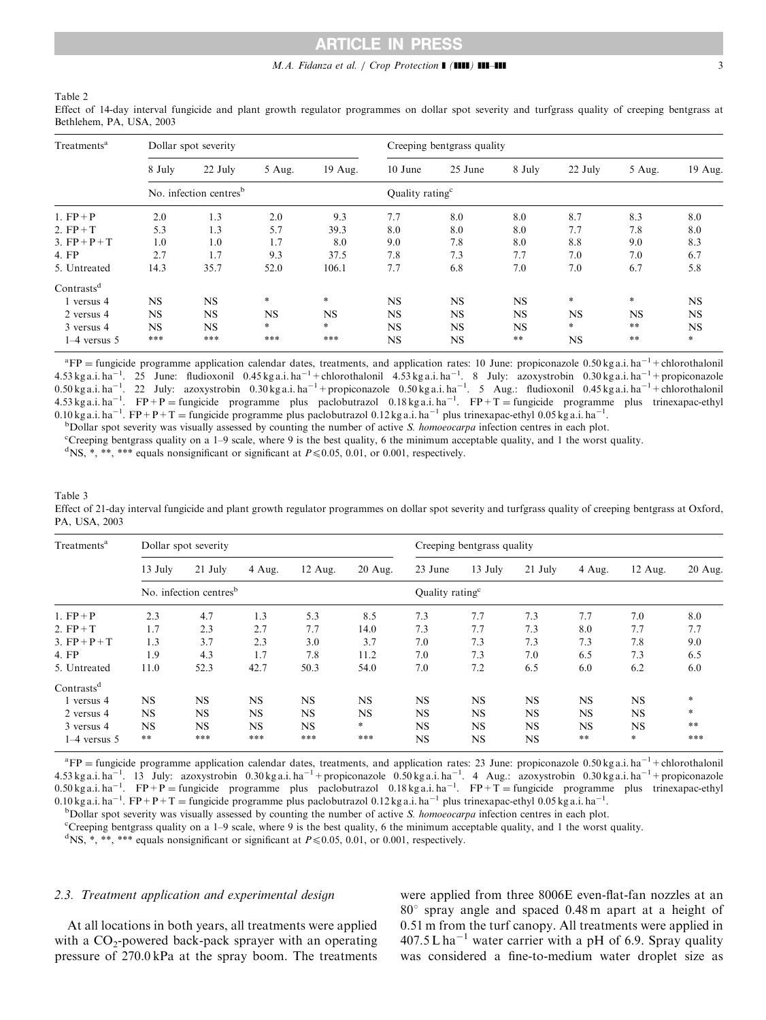# ARTICLE IN PRESS

### M.A. Fidanza et al. / Crop Protection  $\blacksquare$  ( $\blacksquare\blacksquare$ )  $\blacksquare\blacksquare\blacksquare\blacksquare$

<span id="page-2-0"></span>Table 2

| Treatments <sup>a</sup> |           | Dollar spot severity               |           |           | Creeping bentgrass quality  |           |               |           |               |           |  |  |
|-------------------------|-----------|------------------------------------|-----------|-----------|-----------------------------|-----------|---------------|-----------|---------------|-----------|--|--|
|                         | 8 July    | 22 July                            | 5 Aug.    | 19 Aug.   | 10 June                     | 25 June   | 8 July        | 22 July   | 5 Aug.        | 19 Aug.   |  |  |
|                         |           | No. infection centres <sup>b</sup> |           |           | Quality rating <sup>c</sup> |           |               |           |               |           |  |  |
| 1. $FP+P$               | 2.0       | 1.3                                | 2.0       | 9.3       | 7.7                         | 8.0       | 8.0           | 8.7       | 8.3           | 8.0       |  |  |
| 2. $FP+T$               | 5.3       | 1.3                                | 5.7       | 39.3      | 8.0                         | 8.0       | 8.0           | 7.7       | 7.8           | 8.0       |  |  |
| 3. $FP + P + T$         | 1.0       | 1.0                                | 1.7       | 8.0       | 9.0                         | 7.8       | 8.0           | 8.8       | 9.0           | 8.3       |  |  |
| 4. FP                   | 2.7       | 1.7                                | 9.3       | 37.5      | 7.8                         | 7.3       | 7.7           | 7.0       | 7.0           | 6.7       |  |  |
| 5. Untreated            | 14.3      | 35.7                               | 52.0      | 106.1     | 7.7                         | 6.8       | 7.0           | 7.0       | 6.7           | 5.8       |  |  |
| Contrasts <sup>d</sup>  |           |                                    |           |           |                             |           |               |           |               |           |  |  |
| 1 versus 4              | <b>NS</b> | <b>NS</b>                          | $\star$   | $\ast$    | <b>NS</b>                   | <b>NS</b> | <b>NS</b>     | $\ast$    | $\ast$        | NS        |  |  |
| 2 versus 4              | <b>NS</b> | <b>NS</b>                          | <b>NS</b> | <b>NS</b> | <b>NS</b>                   | <b>NS</b> | <b>NS</b>     | <b>NS</b> | <b>NS</b>     | <b>NS</b> |  |  |
| 3 versus 4              | <b>NS</b> | <b>NS</b>                          | $\ast$    | *         | <b>NS</b>                   | <b>NS</b> | <b>NS</b>     | $*$       | $* *$         | <b>NS</b> |  |  |
| $1-4$ versus 5          | ***       | ***                                | ***       | ***       | NS                          | <b>NS</b> | $\ast$ $\ast$ | NS        | $\ast$ $\ast$ | $\ast$    |  |  |

Effect of 14-day interval fungicide and plant growth regulator programmes on dollar spot severity and turfgrass quality of creeping bentgrass at Bethlehem, PA, USA, 2003

 ${}^{a}FP =$  fungicide programme application calendar dates, treatments, and application rates: 10 June: propiconazole 0.50 kg a.i. ha<sup>-1</sup> + chlorothalonil  $4.53$  kg a.i. ha<sup>-1</sup>. 25 June: fludioxonil 0.45 kg a.i. ha<sup>-1</sup> + chlorothalonil  $4.53$  kg a.i. ha<sup>-1</sup>. 8 July: azoxystrobin 0.30 kg a.i. ha<sup>-1</sup> + propiconazole 0.50 kg a.i. ha<sup>-1</sup>. 22 July: azoxystrobin 0.30 kg a.i. ha<sup>-1</sup> + propiconazole 0.50 kg a.i. ha<sup>-1</sup>. 5 Aug.: fludioxonil 0.45 kg a.i. ha<sup>-1</sup> + chlorothalonil<br>4.53 kg a.i. ha<sup>-1</sup>. FP + P = fungicide programme plus paclobutr 0.10 kg a.i. ha<sup>-1</sup>. FP+P+T = fungicide programme plus paclobutrazol 0.12 kg a.i. ha<sup>-1</sup> plus trinexapac-ethyl 0.05 kg a.i. ha<sup>-1</sup>.<br><sup>b</sup>Dollar spot severity was visually assessed by counting the number of active S, homogec

 $b$ Dollar spot severity was visually assessed by counting the number of active S. homoeocarpa infection centres in each plot.

c Creeping bentgrass quality on a 1–9 scale, where 9 is the best quality, 6 the minimum acceptable quality, and 1 the worst quality.

<sup>d</sup>NS, \*, \*\*, \*\*\* equals nonsignificant or significant at  $P \le 0.05$ , 0.01, or 0.001, respectively.

| Table 3                                                                                                                                                  |
|----------------------------------------------------------------------------------------------------------------------------------------------------------|
| Effect of 21-day interval fungicide and plant growth regulator programmes on dollar spot severity and turfgrass quality of creeping bentgrass at Oxford. |
| PA. USA. 2003                                                                                                                                            |

| Treatments <sup>a</sup> |           | Dollar spot severity               |           |           |           | Creeping bentgrass quality  |           |           |           |           |         |  |
|-------------------------|-----------|------------------------------------|-----------|-----------|-----------|-----------------------------|-----------|-----------|-----------|-----------|---------|--|
|                         | 13 July   | $21$ July                          | 4 Aug.    | $12$ Aug. | $20$ Aug. | 23 June                     | $13$ July | $21$ July | 4 Aug.    | 12 Aug.   | 20 Aug. |  |
|                         |           | No. infection centres <sup>b</sup> |           |           |           | Quality rating <sup>c</sup> |           |           |           |           |         |  |
| 1. $FP+P$               | 2.3       | 4.7                                | 1.3       | 5.3       | 8.5       | 7.3                         | 7.7       | 7.3       | 7.7       | 7.0       | 8.0     |  |
| 2. $FP+T$               | 1.7       | 2.3                                | 2.7       | 7.7       | 14.0      | 7.3                         | 7.7       | 7.3       | 8.0       | 7.7       | 7.7     |  |
| 3. $FP + P + T$         | 1.3       | 3.7                                | 2.3       | 3.0       | 3.7       | 7.0                         | 7.3       | 7.3       | 7.3       | 7.8       | 9.0     |  |
| 4. FP                   | 1.9       | 4.3                                | 1.7       | 7.8       | 11.2      | 7.0                         | 7.3       | 7.0       | 6.5       | 7.3       | 6.5     |  |
| 5. Untreated            | 11.0      | 52.3                               | 42.7      | 50.3      | 54.0      | 7.0                         | 7.2       | 6.5       | 6.0       | 6.2       | 6.0     |  |
| Contrasts <sup>d</sup>  |           |                                    |           |           |           |                             |           |           |           |           |         |  |
| 1 versus 4              | <b>NS</b> | <b>NS</b>                          | <b>NS</b> | <b>NS</b> | <b>NS</b> | <b>NS</b>                   | <b>NS</b> | <b>NS</b> | <b>NS</b> | <b>NS</b> | $*$     |  |
| 2 versus 4              | <b>NS</b> | <b>NS</b>                          | <b>NS</b> | <b>NS</b> | <b>NS</b> | <b>NS</b>                   | <b>NS</b> | <b>NS</b> | <b>NS</b> | <b>NS</b> | $\ast$  |  |
| 3 versus 4              | <b>NS</b> | <b>NS</b>                          | <b>NS</b> | <b>NS</b> | $\ast$    | <b>NS</b>                   | NS        | <b>NS</b> | <b>NS</b> | <b>NS</b> | **      |  |
| $1-4$ versus 5          | **        | ***                                | ***       | ***       | ***       | <b>NS</b>                   | NS        | NS        | $* *$     | $\ast$    | ***     |  |

 ${}^{a}FP$  = fungicide programme application calendar dates, treatments, and application rates: 23 June: propiconazole 0.50 kg a.i. ha<sup>-1</sup> + chlorothalonil 4.53 kg a.i. ha<sup>-1</sup>. 13 July: azoxystrobin 0.30 kg a.i. ha<sup>-1</sup> + propiconazole 0.50 kg a.i. ha<sup>-1</sup>. 4 Aug.: azoxystrobin 0.30 kg a.i. ha<sup>-1</sup> + propiconazole 0.50 kg a.i. ha<sup>-1</sup>. FP + T = fungicide programme plus trinexapa 0.10 kg a.i. ha<sup>-1</sup>. FP+P+T = fungicide programme plus paclobutrazol 0.12 kg a.i. ha<sup>-1</sup> plus trinexapac-ethyl 0.05 kg a.i. ha<sup>-1</sup>.<br>bDollar spot severity was visually assessed by counting the number of active S, homogecan

 $b$ Dollar spot severity was visually assessed by counting the number of active S. homoeocarpa infection centres in each plot.

c Creeping bentgrass quality on a 1–9 scale, where 9 is the best quality, 6 the minimum acceptable quality, and 1 the worst quality.

<sup>d</sup>NS, \*, \*\*, \*\*\* equals nonsignificant or significant at  $P \le 0.05$ , 0.01, or 0.001, respectively.

# 2.3. Treatment application and experimental design

At all locations in both years, all treatments were applied with a  $CO_2$ -powered back-pack sprayer with an operating pressure of 270.0 kPa at the spray boom. The treatments were applied from three 8006E even-flat-fan nozzles at an 80*1* spray angle and spaced 0.48 m apart at a height of 0.51 m from the turf canopy. All treatments were applied in  $407.5 L$  ha<sup>-1</sup> water carrier with a pH of 6.9. Spray quality was considered a fine-to-medium water droplet size as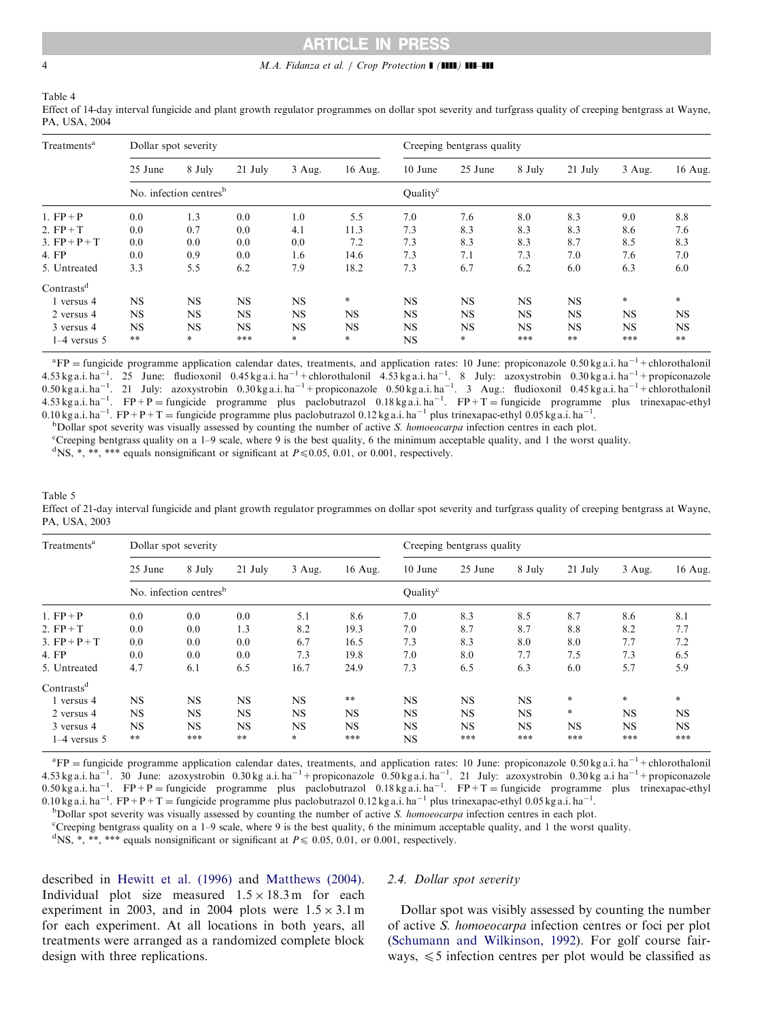# ARTICLE IN PRESS

#### <span id="page-3-0"></span>4 M.A. Fidanza et al. / Crop Protection  $\blacksquare$  ( $\blacksquare$ )  $\blacksquare$

Table 4

Effect of 14-day interval fungicide and plant growth regulator programmes on dollar spot severity and turfgrass quality of creeping bentgrass at Wayne, PA, USA, 2004

| Treatments <sup>a</sup> | Dollar spot severity |                                    |           |           |           | Creeping bentgrass quality |           |           |               |           |           |  |
|-------------------------|----------------------|------------------------------------|-----------|-----------|-----------|----------------------------|-----------|-----------|---------------|-----------|-----------|--|
|                         | 25 June              | 8 July                             | $21$ July | 3 Aug.    | 16 Aug.   | 10 June                    | 25 June   | 8 July    | $21$ July     | 3 Aug.    | 16 Aug.   |  |
|                         |                      | No. infection centres <sup>b</sup> |           |           |           | Ouality <sup>c</sup>       |           |           |               |           |           |  |
| 1. $FP + P$             | 0.0                  | 1.3                                | 0.0       | 1.0       | 5.5       | 7.0                        | 7.6       | 8.0       | 8.3           | 9.0       | 8.8       |  |
| 2. $FP+T$               | 0.0                  | 0.7                                | 0.0       | 4.1       | 11.3      | 7.3                        | 8.3       | 8.3       | 8.3           | 8.6       | 7.6       |  |
| 3. $FP + P + T$         | 0.0                  | 0.0                                | 0.0       | 0.0       | 7.2       | 7.3                        | 8.3       | 8.3       | 8.7           | 8.5       | 8.3       |  |
| 4. FP                   | 0.0                  | 0.9                                | 0.0       | 1.6       | 14.6      | 7.3                        | 7.1       | 7.3       | 7.0           | 7.6       | 7.0       |  |
| 5. Untreated            | 3.3                  | 5.5                                | 6.2       | 7.9       | 18.2      | 7.3                        | 6.7       | 6.2       | 6.0           | 6.3       | 6.0       |  |
| Contrasts <sup>d</sup>  |                      |                                    |           |           |           |                            |           |           |               |           |           |  |
| 1 versus 4              | <b>NS</b>            | <b>NS</b>                          | <b>NS</b> | <b>NS</b> | *         | <b>NS</b>                  | <b>NS</b> | <b>NS</b> | <b>NS</b>     | $\ast$    | $*$       |  |
| 2 versus 4              | <b>NS</b>            | <b>NS</b>                          | <b>NS</b> | <b>NS</b> | <b>NS</b> | <b>NS</b>                  | <b>NS</b> | <b>NS</b> | <b>NS</b>     | <b>NS</b> | <b>NS</b> |  |
| 3 versus 4              | <b>NS</b>            | <b>NS</b>                          | <b>NS</b> | <b>NS</b> | <b>NS</b> | NS.                        | <b>NS</b> | <b>NS</b> | <b>NS</b>     | <b>NS</b> | <b>NS</b> |  |
| $1-4$ versus 5          | $**$                 | $\ast$                             | ***       | $\ast$    | $\ast$    | <b>NS</b>                  | $\ast$    | ***       | $\ast$ $\ast$ | ***       | $* *$     |  |

 ${}^{a}FP =$  fungicide programme application calendar dates, treatments, and application rates: 10 June: propiconazole 0.50 kg a.i. ha<sup>-1</sup> + chlorothalonil  $4.53$  kg a.i. ha<sup>-1</sup>. 25 June: fludioxonil 0.45 kg a.i. ha<sup>-1</sup> + chlorothalonil  $4.53$  kg a.i. ha<sup>-1</sup>. 8 July: azoxystrobin 0.30 kg a.i. ha<sup>-1</sup> + propiconazole 0.50 kg a.i. ha<sup>-1</sup>. 21 July: azoxystrobin 0.30 kg a.i. ha<sup>-1</sup> + propiconazole 0.50 kg a.i. ha<sup>-1</sup>. 3 Aug.: fludioxonil 0.45 kg a.i. ha<sup>-1</sup> + chlorothalonil<br>4.53 kg a.i. ha<sup>-1</sup>. FP + P = fungicide programme plus paclobutr 0.10 kg a.i. ha<sup>-1</sup>. FP+P+T = fungicide programme plus paclobutrazol 0.12 kg a.i. ha<sup>-1</sup> plus trinexapac-ethyl 0.05 kg a.i. ha<sup>-1</sup>.<br><sup>b</sup>Dollar spot severity was visually assessed by counting the number of active S, homogec

 $b$ Dollar spot severity was visually assessed by counting the number of active S. homoeocarpa infection centres in each plot.

c Creeping bentgrass quality on a 1–9 scale, where 9 is the best quality, 6 the minimum acceptable quality, and 1 the worst quality.

<sup>d</sup>NS, \*, \*\*, \*\*\* equals nonsignificant or significant at  $P \le 0.05$ , 0.01, or 0.001, respectively.

| Table 5                                                                                                                                                 |
|---------------------------------------------------------------------------------------------------------------------------------------------------------|
| Effect of 21-day interval fungicide and plant growth regulator programmes on dollar spot severity and turfgrass quality of creeping bentgrass at Wayne, |
| PA. USA. 2003                                                                                                                                           |

| Treatments <sup>a</sup> |               | Dollar spot severity               |           |           |               | Creeping bentgrass quality |           |           |           |           |           |  |
|-------------------------|---------------|------------------------------------|-----------|-----------|---------------|----------------------------|-----------|-----------|-----------|-----------|-----------|--|
|                         | 25 June       | 8 July                             | $21$ July | $3$ Aug.  | 16 Aug.       | 10 June                    | 25 June   | 8 July    | $21$ July | $3$ Aug.  | 16 Aug.   |  |
|                         |               | No. infection centres <sup>b</sup> |           |           |               | Ouality <sup>c</sup>       |           |           |           |           |           |  |
| 1. $FP + P$             | 0.0           | 0.0                                | 0.0       | 5.1       | 8.6           | 7.0                        | 8.3       | 8.5       | 8.7       | 8.6       | 8.1       |  |
| 2. $FP+T$               | 0.0           | 0.0                                | 1.3       | 8.2       | 19.3          | 7.0                        | 8.7       | 8.7       | 8.8       | 8.2       | 7.7       |  |
| 3. $FP + P + T$         | 0.0           | 0.0                                | 0.0       | 6.7       | 16.5          | 7.3                        | 8.3       | 8.0       | 8.0       | 7.7       | 7.2       |  |
| 4. FP                   | 0.0           | 0.0                                | 0.0       | 7.3       | 19.8          | 7.0                        | 8.0       | 7.7       | 7.5       | 7.3       | 6.5       |  |
| 5. Untreated            | 4.7           | 6.1                                | 6.5       | 16.7      | 24.9          | 7.3                        | 6.5       | 6.3       | 6.0       | 5.7       | 5.9       |  |
| Contrasts <sup>d</sup>  |               |                                    |           |           |               |                            |           |           |           |           |           |  |
| l versus 4              | <b>NS</b>     | <b>NS</b>                          | <b>NS</b> | <b>NS</b> | $\ast$ $\ast$ | <b>NS</b>                  | <b>NS</b> | <b>NS</b> | $*$       | $\ast$    | $*$       |  |
| 2 versus 4              | <b>NS</b>     | <b>NS</b>                          | <b>NS</b> | <b>NS</b> | <b>NS</b>     | <b>NS</b>                  | <b>NS</b> | <b>NS</b> | $\ast$    | <b>NS</b> | <b>NS</b> |  |
| 3 versus 4              | <b>NS</b>     | <b>NS</b>                          | <b>NS</b> | <b>NS</b> | <b>NS</b>     | <b>NS</b>                  | <b>NS</b> | <b>NS</b> | <b>NS</b> | <b>NS</b> | <b>NS</b> |  |
| $1-4$ versus 5          | $\ast$ $\ast$ | ***                                | $* *$     | $\ast$    | ***           | <b>NS</b>                  | ***       | ***       | ***       | ***       | ***       |  |

<sup>a</sup>FP = fungicide programme application calendar dates, treatments, and application rates: 10 June: propiconazole 0.50 kg a.i. ha<sup>-1</sup> + chlorothalonil<br>4.53 kg a.i. ha<sup>-1</sup>. 30 June: azoxystrobin 0.30 kg a.i. ha<sup>-1</sup> + propi 0.10 kg a.i. ha<sup>-1</sup>. FP+P+T = fungicide programme plus paclobutrazol 0.12 kg a.i. ha<sup>-1</sup> plus trinexapac-ethyl 0.05 kg a.i. ha<sup>-1</sup>.<br>b pollar spot severity was visually assessed by counting the number of active S, homogeca

 $b$ Dollar spot severity was visually assessed by counting the number of active S. homoeocarpa infection centres in each plot.

c Creeping bentgrass quality on a 1–9 scale, where 9 is the best quality, 6 the minimum acceptable quality, and 1 the worst quality.

<sup>d</sup>NS, \*, \*\*, \*\*\* equals nonsignificant or significant at  $P \le 0.05, 0.01$ , or 0.001, respectively.

described in [Hewitt et al. \(1996\)](#page-5-0) and [Matthews \(2004\)](#page-5-0). Individual plot size measured  $1.5 \times 18.3$  m for each experiment in 2003, and in 2004 plots were  $1.5 \times 3.1$  m for each experiment. At all locations in both years, all treatments were arranged as a randomized complete block design with three replications.

# 2.4. Dollar spot severity

Dollar spot was visibly assessed by counting the number of active S. homoeocarpa infection centres or foci per plot [\(Schumann and Wilkinson, 1992](#page-6-0)). For golf course fairways,  $\leq 5$  infection centres per plot would be classified as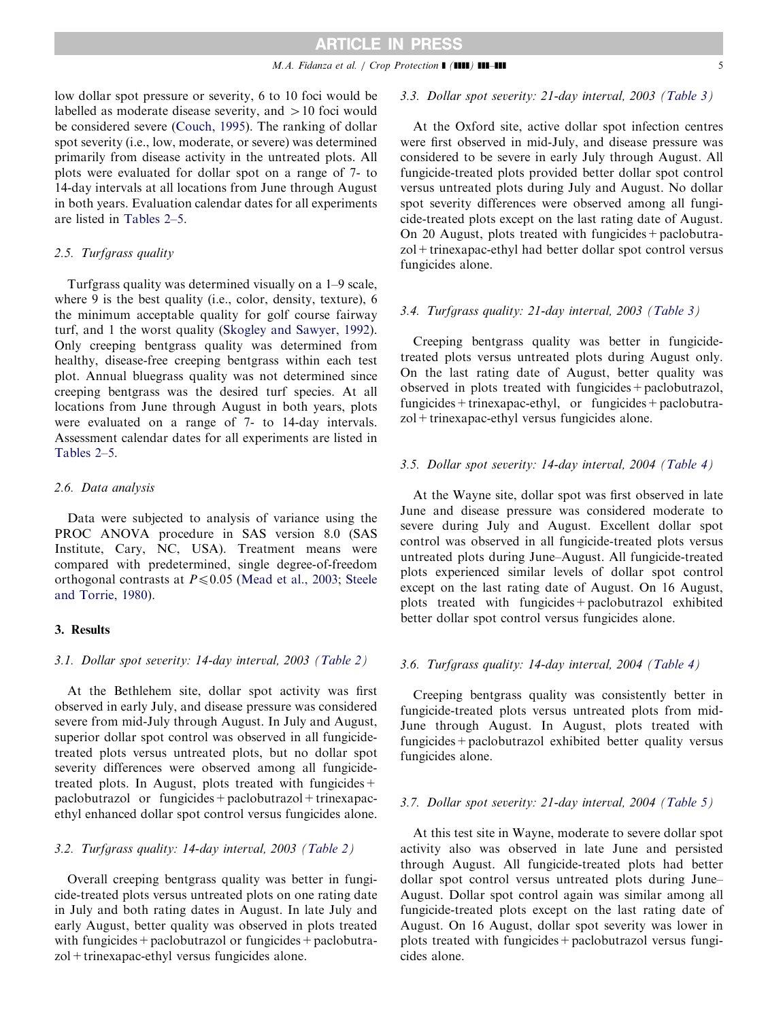low dollar spot pressure or severity, 6 to 10 foci would be labelled as moderate disease severity, and  $>10$  foci would be considered severe ([Couch, 1995\)](#page-5-0). The ranking of dollar spot severity (i.e., low, moderate, or severe) was determined primarily from disease activity in the untreated plots. All plots were evaluated for dollar spot on a range of 7- to 14-day intervals at all locations from June through August in both years. Evaluation calendar dates for all experiments are listed in [Tables 2–5.](#page-2-0)

### 2.5. Turfgrass quality

Turfgrass quality was determined visually on a 1–9 scale, where 9 is the best quality (i.e., color, density, texture), 6 the minimum acceptable quality for golf course fairway turf, and 1 the worst quality ([Skogley and Sawyer, 1992\)](#page-6-0). Only creeping bentgrass quality was determined from healthy, disease-free creeping bentgrass within each test plot. Annual bluegrass quality was not determined since creeping bentgrass was the desired turf species. At all locations from June through August in both years, plots were evaluated on a range of 7- to 14-day intervals. Assessment calendar dates for all experiments are listed in [Tables 2–5.](#page-2-0)

#### 2.6. Data analysis

Data were subjected to analysis of variance using the PROC ANOVA procedure in SAS version 8.0 (SAS Institute, Cary, NC, USA). Treatment means were compared with predetermined, single degree-of-freedom orthogonal contrasts at  $P \le 0.05$  [\(Mead et al., 2003;](#page-6-0) [Steele](#page-6-0) [and Torrie, 1980\)](#page-6-0).

# 3. Results

# 3.1. Dollar spot severity: 14-day interval, 2003 [\(Table 2](#page-2-0))

At the Bethlehem site, dollar spot activity was first observed in early July, and disease pressure was considered severe from mid-July through August. In July and August, superior dollar spot control was observed in all fungicidetreated plots versus untreated plots, but no dollar spot severity differences were observed among all fungicidetreated plots. In August, plots treated with fungicides  $+$  $paclobutrazol$  or fungicides +  $paclobutrazol + trinexapac$ ethyl enhanced dollar spot control versus fungicides alone.

#### 3.2. Turfgrass quality: 14-day interval, 2003 [\(Table 2](#page-2-0))

Overall creeping bentgrass quality was better in fungicide-treated plots versus untreated plots on one rating date in July and both rating dates in August. In late July and early August, better quality was observed in plots treated with fungicides + paclobutrazol or fungicides + paclobutrazol+trinexapac-ethyl versus fungicides alone.

#### 3.3. Dollar spot severity: 21-day interval, 2003 [\(Table 3](#page-2-0))

At the Oxford site, active dollar spot infection centres were first observed in mid-July, and disease pressure was considered to be severe in early July through August. All fungicide-treated plots provided better dollar spot control versus untreated plots during July and August. No dollar spot severity differences were observed among all fungicide-treated plots except on the last rating date of August. On 20 August, plots treated with fungicides  $+$  paclobutrazol+trinexapac-ethyl had better dollar spot control versus fungicides alone.

#### 3.4. Turfgrass quality: 21-day interval, 2003 [\(Table 3](#page-2-0))

Creeping bentgrass quality was better in fungicidetreated plots versus untreated plots during August only. On the last rating date of August, better quality was observed in plots treated with fungicides+paclobutrazol, fungicides + trinexapac-ethyl, or fungicides + paclobutrazol+trinexapac-ethyl versus fungicides alone.

#### 3.5. Dollar spot severity: 14-day interval, 2004 [\(Table 4](#page-3-0))

At the Wayne site, dollar spot was first observed in late June and disease pressure was considered moderate to severe during July and August. Excellent dollar spot control was observed in all fungicide-treated plots versus untreated plots during June–August. All fungicide-treated plots experienced similar levels of dollar spot control except on the last rating date of August. On 16 August, plots treated with fungicides+paclobutrazol exhibited better dollar spot control versus fungicides alone.

# 3.6. Turfgrass quality: 14-day interval, 2004 [\(Table 4](#page-3-0))

Creeping bentgrass quality was consistently better in fungicide-treated plots versus untreated plots from mid-June through August. In August, plots treated with fungicides+paclobutrazol exhibited better quality versus fungicides alone.

#### 3.7. Dollar spot severity: 21-day interval, 2004 [\(Table 5](#page-3-0))

At this test site in Wayne, moderate to severe dollar spot activity also was observed in late June and persisted through August. All fungicide-treated plots had better dollar spot control versus untreated plots during June– August. Dollar spot control again was similar among all fungicide-treated plots except on the last rating date of August. On 16 August, dollar spot severity was lower in plots treated with fungicides+paclobutrazol versus fungicides alone.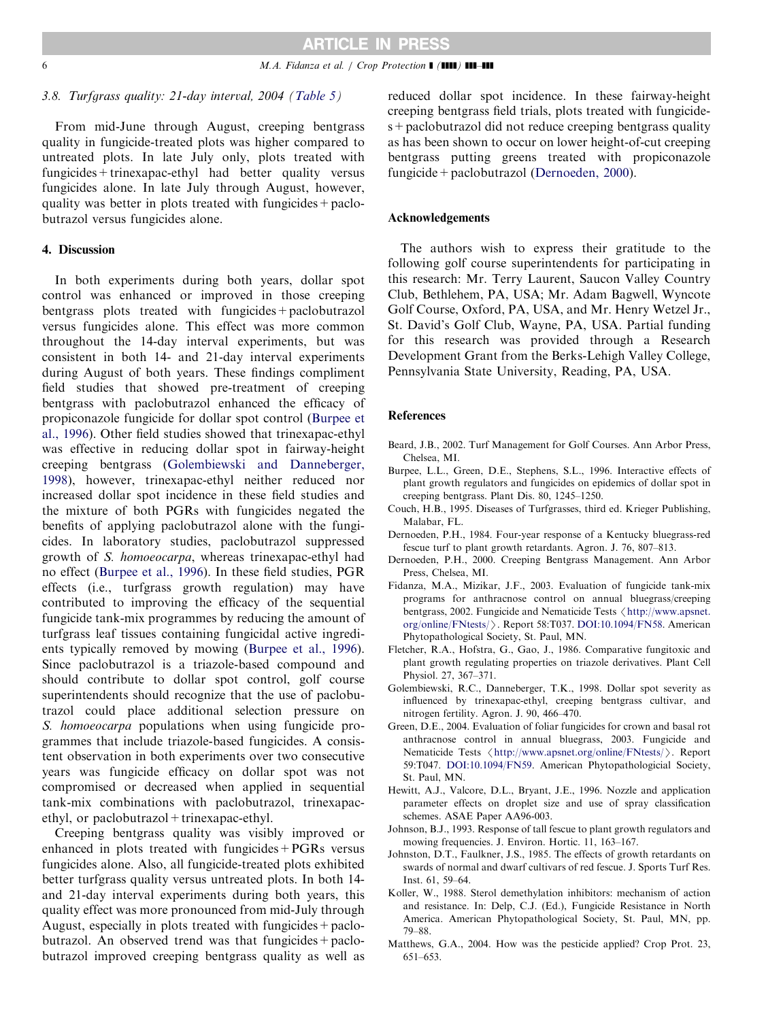<span id="page-5-0"></span>

### 3.8. Turfgrass quality: 21-day interval, 2004 [\(Table 5](#page-3-0))

From mid-June through August, creeping bentgrass quality in fungicide-treated plots was higher compared to untreated plots. In late July only, plots treated with fungicides+trinexapac-ethyl had better quality versus fungicides alone. In late July through August, however, quality was better in plots treated with fungicides  $+$  paclobutrazol versus fungicides alone.

#### 4. Discussion

In both experiments during both years, dollar spot control was enhanced or improved in those creeping bentgrass plots treated with fungicides+paclobutrazol versus fungicides alone. This effect was more common throughout the 14-day interval experiments, but was consistent in both 14- and 21-day interval experiments during August of both years. These findings compliment field studies that showed pre-treatment of creeping bentgrass with paclobutrazol enhanced the efficacy of propiconazole fungicide for dollar spot control (Burpee et al., 1996). Other field studies showed that trinexapac-ethyl was effective in reducing dollar spot in fairway-height creeping bentgrass (Golembiewski and Danneberger, 1998), however, trinexapac-ethyl neither reduced nor increased dollar spot incidence in these field studies and the mixture of both PGRs with fungicides negated the benefits of applying paclobutrazol alone with the fungicides. In laboratory studies, paclobutrazol suppressed growth of S. homoeocarpa, whereas trinexapac-ethyl had no effect (Burpee et al., 1996). In these field studies, PGR effects (i.e., turfgrass growth regulation) may have contributed to improving the efficacy of the sequential fungicide tank-mix programmes by reducing the amount of turfgrass leaf tissues containing fungicidal active ingredients typically removed by mowing (Burpee et al., 1996). Since paclobutrazol is a triazole-based compound and should contribute to dollar spot control, golf course superintendents should recognize that the use of paclobutrazol could place additional selection pressure on S. *homoeocarpa* populations when using fungicide programmes that include triazole-based fungicides. A consistent observation in both experiments over two consecutive years was fungicide efficacy on dollar spot was not compromised or decreased when applied in sequential tank-mix combinations with paclobutrazol, trinexapacethyl, or paclobutrazol + trinexapac-ethyl.

Creeping bentgrass quality was visibly improved or enhanced in plots treated with fungicides+PGRs versus fungicides alone. Also, all fungicide-treated plots exhibited better turfgrass quality versus untreated plots. In both 14 and 21-day interval experiments during both years, this quality effect was more pronounced from mid-July through August, especially in plots treated with fungicides+paclobutrazol. An observed trend was that fungicides  $+$  paclobutrazol improved creeping bentgrass quality as well as reduced dollar spot incidence. In these fairway-height creeping bentgrass field trials, plots treated with fungicides+paclobutrazol did not reduce creeping bentgrass quality as has been shown to occur on lower height-of-cut creeping bentgrass putting greens treated with propiconazole fungicide+paclobutrazol (Dernoeden, 2000).

#### Acknowledgements

The authors wish to express their gratitude to the following golf course superintendents for participating in this research: Mr. Terry Laurent, Saucon Valley Country Club, Bethlehem, PA, USA; Mr. Adam Bagwell, Wyncote Golf Course, Oxford, PA, USA, and Mr. Henry Wetzel Jr., St. David's Golf Club, Wayne, PA, USA. Partial funding for this research was provided through a Research Development Grant from the Berks-Lehigh Valley College, Pennsylvania State University, Reading, PA, USA.

#### References

- Beard, J.B., 2002. Turf Management for Golf Courses. Ann Arbor Press, Chelsea, MI.
- Burpee, L.L., Green, D.E., Stephens, S.L., 1996. Interactive effects of plant growth regulators and fungicides on epidemics of dollar spot in creeping bentgrass. Plant Dis. 80, 1245–1250.
- Couch, H.B., 1995. Diseases of Turfgrasses, third ed. Krieger Publishing, Malabar, FL.
- Dernoeden, P.H., 1984. Four-year response of a Kentucky bluegrass-red fescue turf to plant growth retardants. Agron. J. 76, 807–813.
- Dernoeden, P.H., 2000. Creeping Bentgrass Management. Ann Arbor Press, Chelsea, MI.
- Fidanza, M.A., Mizikar, J.F., 2003. Evaluation of fungicide tank-mix programs for anthracnose control on annual bluegrass/creeping bentgrass, 2002. Fungicide and Nematicide Tests  $\langle$  [http://www.apsnet.](http://www.apsnet.org/online/FNtests/) [org/online/FNtests/](http://www.apsnet.org/online/FNtests/) $\rangle$ . Report 58:T037. [DOI:10.1094/FN58](http://dx.doi.org/10.1094/FN58). American Phytopathological Society, St. Paul, MN.
- Fletcher, R.A., Hofstra, G., Gao, J., 1986. Comparative fungitoxic and plant growth regulating properties on triazole derivatives. Plant Cell Physiol. 27, 367–371.
- Golembiewski, R.C., Danneberger, T.K., 1998. Dollar spot severity as influenced by trinexapac-ethyl, creeping bentgrass cultivar, and nitrogen fertility. Agron. J. 90, 466–470.
- Green, D.E., 2004. Evaluation of foliar fungicides for crown and basal rot anthracnose control in annual bluegrass, 2003. Fungicide and Nematicide Tests  $\langle$  <http://www.apsnet.org/online/FNtests/> $\rangle$ . Report 59:T047. [DOI:10.1094/FN59.](http://dx.doi.org/10.1094/FN59) American Phytopathologicial Society, St. Paul, MN.
- Hewitt, A.J., Valcore, D.L., Bryant, J.E., 1996. Nozzle and application parameter effects on droplet size and use of spray classification schemes. ASAE Paper AA96-003.
- Johnson, B.J., 1993. Response of tall fescue to plant growth regulators and mowing frequencies. J. Environ. Hortic. 11, 163–167.
- Johnston, D.T., Faulkner, J.S., 1985. The effects of growth retardants on swards of normal and dwarf cultivars of red fescue. J. Sports Turf Res. Inst. 61, 59–64.
- Koller, W., 1988. Sterol demethylation inhibitors: mechanism of action and resistance. In: Delp, C.J. (Ed.), Fungicide Resistance in North America. American Phytopathological Society, St. Paul, MN, pp. 79–88.
- Matthews, G.A., 2004. How was the pesticide applied? Crop Prot. 23, 651–653.